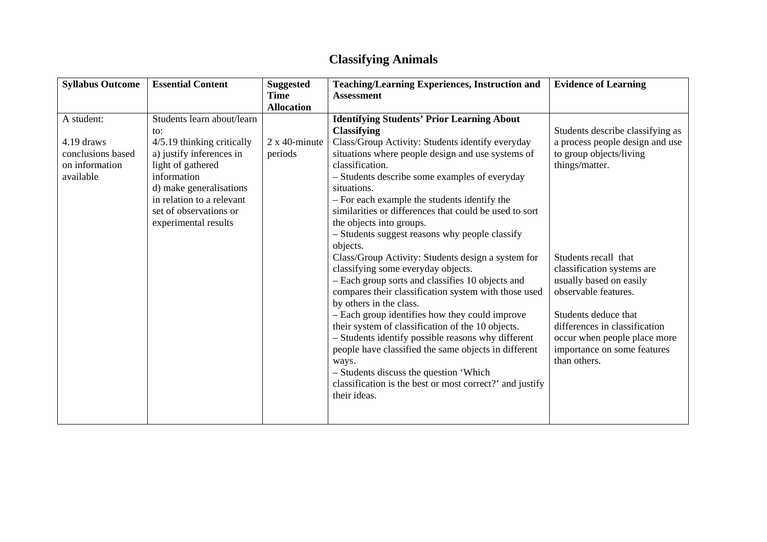## **Classifying Animals**

| <b>Syllabus Outcome</b> | <b>Essential Content</b>   | <b>Suggested</b>      | <b>Teaching/Learning Experiences, Instruction and</b>    | <b>Evidence of Learning</b>      |
|-------------------------|----------------------------|-----------------------|----------------------------------------------------------|----------------------------------|
|                         |                            | <b>Time</b>           | <b>Assessment</b>                                        |                                  |
|                         |                            | <b>Allocation</b>     |                                                          |                                  |
| A student:              | Students learn about/learn |                       | <b>Identifying Students' Prior Learning About</b>        |                                  |
|                         | to:                        |                       | <b>Classifying</b>                                       | Students describe classifying as |
| 4.19 draws              | 4/5.19 thinking critically | $2 \times 40$ -minute | Class/Group Activity: Students identify everyday         | a process people design and use  |
| conclusions based       | a) justify inferences in   | periods               | situations where people design and use systems of        | to group objects/living          |
| on information          | light of gathered          |                       | classification.                                          | things/matter.                   |
| available               | information                |                       | - Students describe some examples of everyday            |                                  |
|                         | d) make generalisations    |                       | situations.                                              |                                  |
|                         | in relation to a relevant  |                       | - For each example the students identify the             |                                  |
|                         | set of observations or     |                       | similarities or differences that could be used to sort   |                                  |
|                         | experimental results       |                       | the objects into groups.                                 |                                  |
|                         |                            |                       | - Students suggest reasons why people classify           |                                  |
|                         |                            |                       | objects.                                                 |                                  |
|                         |                            |                       | Class/Group Activity: Students design a system for       | Students recall that             |
|                         |                            |                       | classifying some everyday objects.                       | classification systems are       |
|                         |                            |                       | - Each group sorts and classifies 10 objects and         | usually based on easily          |
|                         |                            |                       | compares their classification system with those used     | observable features.             |
|                         |                            |                       | by others in the class.                                  |                                  |
|                         |                            |                       | - Each group identifies how they could improve           | Students deduce that             |
|                         |                            |                       | their system of classification of the 10 objects.        | differences in classification    |
|                         |                            |                       | - Students identify possible reasons why different       | occur when people place more     |
|                         |                            |                       | people have classified the same objects in different     | importance on some features      |
|                         |                            |                       | ways.                                                    | than others.                     |
|                         |                            |                       | - Students discuss the question 'Which                   |                                  |
|                         |                            |                       | classification is the best or most correct?' and justify |                                  |
|                         |                            |                       | their ideas.                                             |                                  |
|                         |                            |                       |                                                          |                                  |
|                         |                            |                       |                                                          |                                  |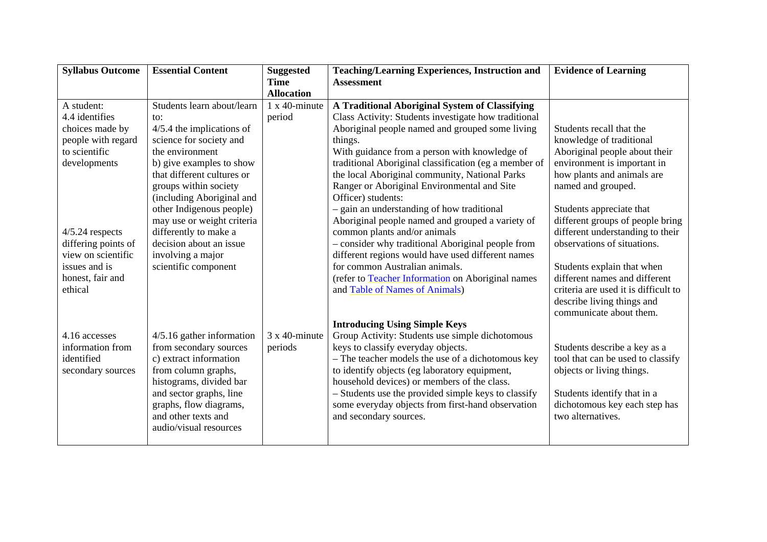| <b>Syllabus Outcome</b>        | <b>Essential Content</b>                           | <b>Suggested</b><br><b>Time</b> | <b>Teaching/Learning Experiences, Instruction and</b><br><b>Assessment</b>                   | <b>Evidence of Learning</b>                                       |
|--------------------------------|----------------------------------------------------|---------------------------------|----------------------------------------------------------------------------------------------|-------------------------------------------------------------------|
|                                |                                                    | <b>Allocation</b>               |                                                                                              |                                                                   |
| A student:                     | Students learn about/learn                         | $1 \times 40$ -minute           | A Traditional Aboriginal System of Classifying                                               |                                                                   |
| 4.4 identifies                 | to:                                                | period                          | Class Activity: Students investigate how traditional                                         |                                                                   |
| choices made by                | $4/5.4$ the implications of                        |                                 | Aboriginal people named and grouped some living                                              | Students recall that the                                          |
| people with regard             | science for society and                            |                                 | things.                                                                                      | knowledge of traditional                                          |
| to scientific                  | the environment                                    |                                 | With guidance from a person with knowledge of                                                | Aboriginal people about their                                     |
| developments                   | b) give examples to show                           |                                 | traditional Aboriginal classification (eg a member of                                        | environment is important in                                       |
|                                | that different cultures or                         |                                 | the local Aboriginal community, National Parks                                               | how plants and animals are                                        |
|                                | groups within society                              |                                 | Ranger or Aboriginal Environmental and Site                                                  | named and grouped.                                                |
|                                | (including Aboriginal and                          |                                 | Officer) students:                                                                           |                                                                   |
|                                | other Indigenous people)                           |                                 | - gain an understanding of how traditional                                                   | Students appreciate that                                          |
|                                | may use or weight criteria                         |                                 | Aboriginal people named and grouped a variety of                                             | different groups of people bring                                  |
| $4/5.24$ respects              | differently to make a                              |                                 | common plants and/or animals                                                                 | different understanding to their                                  |
| differing points of            | decision about an issue                            |                                 | - consider why traditional Aboriginal people from                                            | observations of situations.                                       |
| view on scientific             | involving a major                                  |                                 | different regions would have used different names                                            |                                                                   |
| issues and is                  | scientific component                               |                                 | for common Australian animals.                                                               | Students explain that when                                        |
| honest, fair and               |                                                    |                                 | (refer to Teacher Information on Aboriginal names                                            | different names and different                                     |
| ethical                        |                                                    |                                 | and Table of Names of Animals)                                                               | criteria are used it is difficult to                              |
|                                |                                                    |                                 |                                                                                              | describe living things and                                        |
|                                |                                                    |                                 |                                                                                              | communicate about them.                                           |
|                                |                                                    |                                 | <b>Introducing Using Simple Keys</b>                                                         |                                                                   |
| 4.16 accesses                  | $4/5.16$ gather information                        | $3 \times 40$ -minute           | Group Activity: Students use simple dichotomous                                              |                                                                   |
| information from<br>identified | from secondary sources<br>c) extract information   | periods                         | keys to classify everyday objects.<br>- The teacher models the use of a dichotomous key      | Students describe a key as a<br>tool that can be used to classify |
|                                |                                                    |                                 |                                                                                              |                                                                   |
| secondary sources              | from column graphs,                                |                                 | to identify objects (eg laboratory equipment,<br>household devices) or members of the class. | objects or living things.                                         |
|                                | histograms, divided bar<br>and sector graphs, line |                                 | - Students use the provided simple keys to classify                                          | Students identify that in a                                       |
|                                | graphs, flow diagrams,                             |                                 | some everyday objects from first-hand observation                                            | dichotomous key each step has                                     |
|                                | and other texts and                                |                                 | and secondary sources.                                                                       | two alternatives.                                                 |
|                                | audio/visual resources                             |                                 |                                                                                              |                                                                   |
|                                |                                                    |                                 |                                                                                              |                                                                   |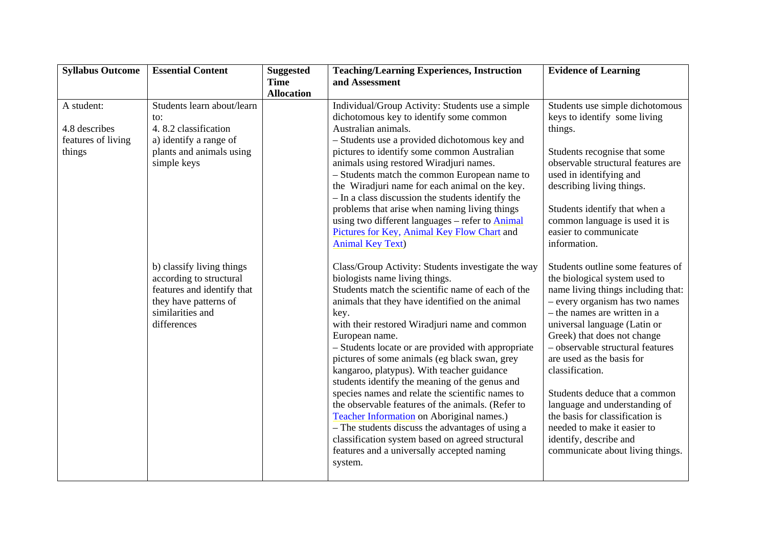| <b>Syllabus Outcome</b>                                     | <b>Essential Content</b>                                                                                                                       | <b>Suggested</b>                 | <b>Teaching/Learning Experiences, Instruction</b>                                                                                                                                                                                                                                                                                                                                                                                                                                                                                                                                                                                                                                                                                                                                                     | <b>Evidence of Learning</b>                                                                                                                                                                                                                                                                                                                                                                                                                                                                                                     |
|-------------------------------------------------------------|------------------------------------------------------------------------------------------------------------------------------------------------|----------------------------------|-------------------------------------------------------------------------------------------------------------------------------------------------------------------------------------------------------------------------------------------------------------------------------------------------------------------------------------------------------------------------------------------------------------------------------------------------------------------------------------------------------------------------------------------------------------------------------------------------------------------------------------------------------------------------------------------------------------------------------------------------------------------------------------------------------|---------------------------------------------------------------------------------------------------------------------------------------------------------------------------------------------------------------------------------------------------------------------------------------------------------------------------------------------------------------------------------------------------------------------------------------------------------------------------------------------------------------------------------|
|                                                             |                                                                                                                                                | <b>Time</b><br><b>Allocation</b> | and Assessment                                                                                                                                                                                                                                                                                                                                                                                                                                                                                                                                                                                                                                                                                                                                                                                        |                                                                                                                                                                                                                                                                                                                                                                                                                                                                                                                                 |
| A student:<br>4.8 describes<br>features of living<br>things | Students learn about/learn<br>to:<br>4.8.2 classification<br>a) identify a range of<br>plants and animals using<br>simple keys                 |                                  | Individual/Group Activity: Students use a simple<br>dichotomous key to identify some common<br>Australian animals.<br>- Students use a provided dichotomous key and<br>pictures to identify some common Australian<br>animals using restored Wiradjuri names.<br>- Students match the common European name to<br>the Wiradjuri name for each animal on the key.<br>- In a class discussion the students identify the<br>problems that arise when naming living things<br>using two different languages – refer to Animal<br>Pictures for Key, Animal Key Flow Chart and<br><b>Animal Key Text)</b>                                                                                                                                                                                                    | Students use simple dichotomous<br>keys to identify some living<br>things.<br>Students recognise that some<br>observable structural features are<br>used in identifying and<br>describing living things.<br>Students identify that when a<br>common language is used it is<br>easier to communicate<br>information.                                                                                                                                                                                                             |
|                                                             | b) classify living things<br>according to structural<br>features and identify that<br>they have patterns of<br>similarities and<br>differences |                                  | Class/Group Activity: Students investigate the way<br>biologists name living things.<br>Students match the scientific name of each of the<br>animals that they have identified on the animal<br>key.<br>with their restored Wiradjuri name and common<br>European name.<br>- Students locate or are provided with appropriate<br>pictures of some animals (eg black swan, grey<br>kangaroo, platypus). With teacher guidance<br>students identify the meaning of the genus and<br>species names and relate the scientific names to<br>the observable features of the animals. (Refer to<br>Teacher Information on Aboriginal names.)<br>- The students discuss the advantages of using a<br>classification system based on agreed structural<br>features and a universally accepted naming<br>system. | Students outline some features of<br>the biological system used to<br>name living things including that:<br>- every organism has two names<br>- the names are written in a<br>universal language (Latin or<br>Greek) that does not change<br>- observable structural features<br>are used as the basis for<br>classification.<br>Students deduce that a common<br>language and understanding of<br>the basis for classification is<br>needed to make it easier to<br>identify, describe and<br>communicate about living things. |